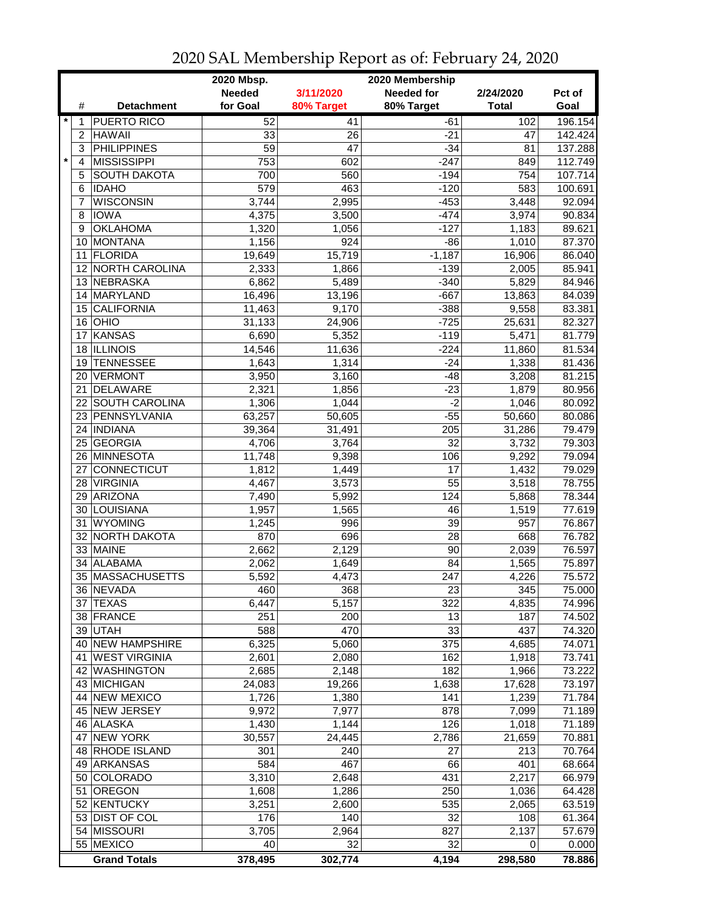|                    | 2020 Mbsp.<br>2020 Membership |                 |                 |                   |              |         |  |
|--------------------|-------------------------------|-----------------|-----------------|-------------------|--------------|---------|--|
|                    |                               | <b>Needed</b>   | 3/11/2020       | <b>Needed for</b> | 2/24/2020    | Pct of  |  |
| #                  | <b>Detachment</b>             | for Goal        | 80% Target      | 80% Target        | <b>Total</b> | Goal    |  |
| $\star$<br>1       | <b>PUERTO RICO</b>            | 52              | 41              | -61               | 102          | 196.154 |  |
| 2                  | <b>HAWAII</b>                 | 33              | 26              | -21               | 47           | 142.424 |  |
| 3                  | <b>PHILIPPINES</b>            | $\overline{59}$ | $\overline{47}$ | $-34$             | 81           | 137.288 |  |
| $\pmb{\star}$<br>4 | <b>MISSISSIPPI</b>            | 753             | 602             | $-247$            | 849          | 112.749 |  |
| 5                  | <b>SOUTH DAKOTA</b>           | 700             | 560             | $-194$            | 754          | 107.714 |  |
| 6                  | <b>IDAHO</b>                  | 579             | 463             | $-120$            | 583          | 100.691 |  |
| 7                  | <b>WISCONSIN</b>              | 3,744           | 2,995           | $-453$            | 3,448        | 92.094  |  |
| 8                  | <b>IOWA</b>                   | 4,375           | 3,500           | $-474$            | 3,974        | 90.834  |  |
| 9                  | <b>OKLAHOMA</b>               | 1,320           | 1,056           | $-127$            | 1,183        | 89.621  |  |
| 10                 | MONTANA                       | 1,156           | 924             | $-86$             | 1,010        | 87.370  |  |
| 11                 | FLORIDA                       | 19,649          | 15,719          | $-1,187$          | 16,906       | 86.040  |  |
| 12                 | <b>NORTH CAROLINA</b>         | 2,333           | 1,866           | $-139$            | 2,005        | 85.941  |  |
| 13                 | <b>NEBRASKA</b>               | 6,862           | 5,489           | $-340$            | 5,829        | 84.946  |  |
|                    | 14 MARYLAND                   | 16,496          | 13,196          | $-667$            | 13,863       | 84.039  |  |
| 15                 | <b>CALIFORNIA</b>             | 11,463          | 9,170           | $-388$            | 9,558        | 83.381  |  |
|                    | 16 OHIO                       | 31,133          | 24,906          | $-725$            | 25,631       | 82.327  |  |
| 17                 | <b>KANSAS</b>                 | 6,690           | 5,352           | $-119$            | 5,471        | 81.779  |  |
| 18                 | <b>ILLINOIS</b>               | 14,546          | 11,636          | $-224$            | 11,860       | 81.534  |  |
| 19                 | <b>TENNESSEE</b>              | 1,643           | 1,314           | $-24$             | 1,338        |         |  |
|                    |                               |                 |                 | $-48$             |              | 81.436  |  |
| 20<br>21           | <b>VERMONT</b><br>DELAWARE    | 3,950           | 3,160           | $-23$             | 3,208        | 81.215  |  |
|                    |                               | 2,321<br>1,306  | 1,856           | $-2$              | 1,879        | 80.956  |  |
|                    | 22 SOUTH CAROLINA             |                 | 1,044           |                   | 1,046        | 80.092  |  |
|                    | 23 PENNSYLVANIA               | 63,257          | 50,605          | $-55$             | 50,660       | 80.086  |  |
|                    | 24  INDIANA                   | 39,364          | 31,491          | 205               | 31,286       | 79.479  |  |
|                    | 25 GEORGIA                    | 4,706           | 3,764           | $\overline{32}$   | 3,732        | 79.303  |  |
|                    | 26 MINNESOTA                  | 11,748          | 9,398           | 106               | 9,292        | 79.094  |  |
| 27                 | <b>CONNECTICUT</b>            | 1,812           | 1,449           | 17                | 1,432        | 79.029  |  |
|                    | 28 VIRGINIA                   | 4,467           | 3,573           | 55                | 3,518        | 78.755  |  |
| 29                 | ARIZONA                       | 7,490           | 5,992           | 124               | 5,868        | 78.344  |  |
|                    | 30 LOUISIANA                  | 1,957           | 1,565           | 46                | 1,519        | 77.619  |  |
| 31                 | <b>WYOMING</b>                | 1,245           | 996             | 39                | 957          | 76.867  |  |
|                    | 32 NORTH DAKOTA               | 870             | 696             | 28                | 668          | 76.782  |  |
|                    | 33 MAINE                      | 2,662           | 2,129           | 90                | 2,039        | 76.597  |  |
| 34                 | ALABAMA                       | 2,062           | 1,649           | 84                | 1,565        | 75.897  |  |
|                    | 35 MASSACHUSETTS              | 5,592           | 4,473           | 247               | 4,226        | 75.572  |  |
|                    | 36 NEVADA                     | 460             | 368             | 23                | 345          | 75.000  |  |
|                    | 37 TEXAS                      | 6,447           | 5,157           | 322               | 4,835        | 74.996  |  |
|                    | 38 FRANCE                     | 251             | 200             | 13                | 187          | 74.502  |  |
|                    | 39 UTAH                       | 588             | 470             | 33                | 437          | 74.320  |  |
|                    | 40 NEW HAMPSHIRE              | 6,325           | 5,060           | 375               | 4,685        | 74.071  |  |
|                    | 41 WEST VIRGINIA              | 2,601           | 2,080           | 162               | 1,918        | 73.741  |  |
|                    | 42 WASHINGTON                 | 2,685           | 2,148           | 182               | 1,966        | 73.222  |  |
|                    | 43 MICHIGAN                   | 24,083          | 19,266          | 1,638             | 17,628       | 73.197  |  |
|                    | 44 NEW MEXICO                 | 1,726           | 1,380           | 141               | 1,239        | 71.784  |  |
|                    | 45 NEW JERSEY                 | 9,972           | 7,977           | 878               | 7,099        | 71.189  |  |
|                    | 46 ALASKA                     | 1,430           | 1,144           | 126               | 1,018        | 71.189  |  |
| 47                 | <b>NEW YORK</b>               | 30,557          | 24,445          | 2,786             | 21,659       | 70.881  |  |
|                    | 48 RHODE ISLAND               | 301             | 240             | 27                | 213          | 70.764  |  |
|                    | 49 ARKANSAS                   | 584             | 467             | 66                | 401          | 68.664  |  |
|                    | 50 COLORADO                   | 3,310           | 2,648           | 431               | 2,217        | 66.979  |  |
| 51                 | <b>OREGON</b>                 | 1,608           | 1,286           | 250               | 1,036        | 64.428  |  |
|                    | 52 KENTUCKY                   | 3,251           | 2,600           | 535               | 2,065        | 63.519  |  |
|                    | 53 DIST OF COL                | 176             | 140             | 32                | 108          | 61.364  |  |
|                    | 54 MISSOURI                   | 3,705           | 2,964           | 827               | 2,137        | 57.679  |  |
|                    | 55 MEXICO                     | 40              | 32              | 32                | 0            | 0.000   |  |
|                    | <b>Grand Totals</b>           | 378,495         | 302,774         | 4,194             | 298,580      | 78.886  |  |

2020 SAL Membership Report as of: February 24, 2020